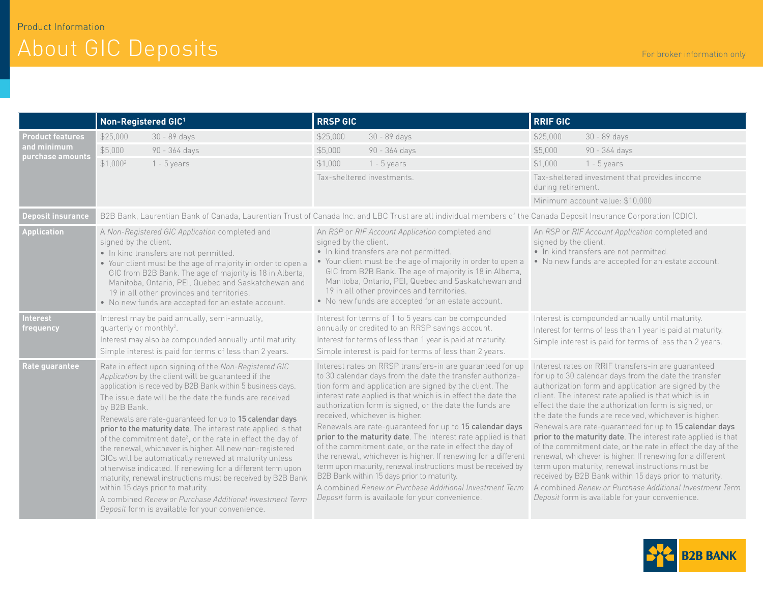## About GIC Deposits For broker information only

|                                                            | Non-Registered GIC <sup>1</sup>                                                                                                                                                                                                                                                                                                                                                                                                                                                                                                                                                                                                                                                                                                                                                                                                                                  | <b>RRSP GIC</b>                                                                                                                                                                                                                                                                                                                                                                                                                                                                                                                                                                                                                                                                                                                                                                                                                      | <b>RRIF GIC</b>                                                                                                                                                                                                                                                                                                                                                                                                                                                                                                                                                                                                                                                                                                                                                                                                                    |  |
|------------------------------------------------------------|------------------------------------------------------------------------------------------------------------------------------------------------------------------------------------------------------------------------------------------------------------------------------------------------------------------------------------------------------------------------------------------------------------------------------------------------------------------------------------------------------------------------------------------------------------------------------------------------------------------------------------------------------------------------------------------------------------------------------------------------------------------------------------------------------------------------------------------------------------------|--------------------------------------------------------------------------------------------------------------------------------------------------------------------------------------------------------------------------------------------------------------------------------------------------------------------------------------------------------------------------------------------------------------------------------------------------------------------------------------------------------------------------------------------------------------------------------------------------------------------------------------------------------------------------------------------------------------------------------------------------------------------------------------------------------------------------------------|------------------------------------------------------------------------------------------------------------------------------------------------------------------------------------------------------------------------------------------------------------------------------------------------------------------------------------------------------------------------------------------------------------------------------------------------------------------------------------------------------------------------------------------------------------------------------------------------------------------------------------------------------------------------------------------------------------------------------------------------------------------------------------------------------------------------------------|--|
| <b>Product features</b><br>and minimum<br>purchase amounts | \$25,000<br>30 - 89 days                                                                                                                                                                                                                                                                                                                                                                                                                                                                                                                                                                                                                                                                                                                                                                                                                                         | 30 - 89 days<br>\$25,000                                                                                                                                                                                                                                                                                                                                                                                                                                                                                                                                                                                                                                                                                                                                                                                                             | \$25,000<br>30 - 89 days                                                                                                                                                                                                                                                                                                                                                                                                                                                                                                                                                                                                                                                                                                                                                                                                           |  |
|                                                            | \$5,000<br>90 - 364 days                                                                                                                                                                                                                                                                                                                                                                                                                                                                                                                                                                                                                                                                                                                                                                                                                                         | \$5,000<br>90 - 364 days                                                                                                                                                                                                                                                                                                                                                                                                                                                                                                                                                                                                                                                                                                                                                                                                             | 90 - 364 days<br>\$5,000                                                                                                                                                                                                                                                                                                                                                                                                                                                                                                                                                                                                                                                                                                                                                                                                           |  |
|                                                            | $$1,000^2$<br>$1 - 5$ years                                                                                                                                                                                                                                                                                                                                                                                                                                                                                                                                                                                                                                                                                                                                                                                                                                      | $1 - 5$ years<br>\$1,000                                                                                                                                                                                                                                                                                                                                                                                                                                                                                                                                                                                                                                                                                                                                                                                                             | \$1,000<br>$1 - 5$ years                                                                                                                                                                                                                                                                                                                                                                                                                                                                                                                                                                                                                                                                                                                                                                                                           |  |
|                                                            |                                                                                                                                                                                                                                                                                                                                                                                                                                                                                                                                                                                                                                                                                                                                                                                                                                                                  | Tax-sheltered investments.                                                                                                                                                                                                                                                                                                                                                                                                                                                                                                                                                                                                                                                                                                                                                                                                           | Tax-sheltered investment that provides income<br>during retirement.                                                                                                                                                                                                                                                                                                                                                                                                                                                                                                                                                                                                                                                                                                                                                                |  |
|                                                            |                                                                                                                                                                                                                                                                                                                                                                                                                                                                                                                                                                                                                                                                                                                                                                                                                                                                  |                                                                                                                                                                                                                                                                                                                                                                                                                                                                                                                                                                                                                                                                                                                                                                                                                                      | Minimum account value: \$10,000                                                                                                                                                                                                                                                                                                                                                                                                                                                                                                                                                                                                                                                                                                                                                                                                    |  |
| <b>Deposit insurance</b>                                   | B2B Bank, Laurentian Bank of Canada, Laurentian Trust of Canada Inc. and LBC Trust are all individual members of the Canada Deposit Insurance Corporation (CDIC).                                                                                                                                                                                                                                                                                                                                                                                                                                                                                                                                                                                                                                                                                                |                                                                                                                                                                                                                                                                                                                                                                                                                                                                                                                                                                                                                                                                                                                                                                                                                                      |                                                                                                                                                                                                                                                                                                                                                                                                                                                                                                                                                                                                                                                                                                                                                                                                                                    |  |
| <b>Application</b>                                         | A Non-Registered GIC Application completed and<br>signed by the client.<br>• In kind transfers are not permitted.<br>• Your client must be the age of majority in order to open a<br>GIC from B2B Bank. The age of majority is 18 in Alberta,<br>Manitoba, Ontario, PEI, Quebec and Saskatchewan and<br>19 in all other provinces and territories.<br>• No new funds are accepted for an estate account.                                                                                                                                                                                                                                                                                                                                                                                                                                                         | An RSP or RIF Account Application completed and<br>signed by the client.<br>· In kind transfers are not permitted.<br>• Your client must be the age of majority in order to open a<br>GIC from B2B Bank. The age of majority is 18 in Alberta,<br>Manitoba, Ontario, PEI, Quebec and Saskatchewan and<br>19 in all other provinces and territories.<br>• No new funds are accepted for an estate account.                                                                                                                                                                                                                                                                                                                                                                                                                            | An RSP or RIF Account Application completed and<br>signed by the client.<br>• In kind transfers are not permitted.<br>• No new funds are accepted for an estate account.                                                                                                                                                                                                                                                                                                                                                                                                                                                                                                                                                                                                                                                           |  |
| <b>Interest</b><br>frequency                               | Interest may be paid annually, semi-annually,<br>quarterly or monthly <sup>2</sup> .<br>Interest may also be compounded annually until maturity.<br>Simple interest is paid for terms of less than 2 years.                                                                                                                                                                                                                                                                                                                                                                                                                                                                                                                                                                                                                                                      | Interest for terms of 1 to 5 years can be compounded<br>annually or credited to an RRSP savings account.<br>Interest for terms of less than 1 year is paid at maturity.<br>Simple interest is paid for terms of less than 2 years.                                                                                                                                                                                                                                                                                                                                                                                                                                                                                                                                                                                                   | Interest is compounded annually until maturity.<br>Interest for terms of less than 1 year is paid at maturity.<br>Simple interest is paid for terms of less than 2 years.                                                                                                                                                                                                                                                                                                                                                                                                                                                                                                                                                                                                                                                          |  |
| Rate guarantee                                             | Rate in effect upon signing of the Non-Registered GIC<br>Application by the client will be guaranteed if the<br>application is received by B2B Bank within 5 business days.<br>The issue date will be the date the funds are received<br>by B2B Bank.<br>Renewals are rate-guaranteed for up to 15 calendar days<br>prior to the maturity date. The interest rate applied is that<br>of the commitment date <sup>3</sup> , or the rate in effect the day of<br>the renewal, whichever is higher. All new non-registered<br>GICs will be automatically renewed at maturity unless<br>otherwise indicated. If renewing for a different term upon<br>maturity, renewal instructions must be received by B2B Bank<br>within 15 days prior to maturity.<br>A combined Renew or Purchase Additional Investment Term<br>Deposit form is available for your convenience. | Interest rates on RRSP transfers-in are guaranteed for up<br>to 30 calendar days from the date the transfer authoriza-<br>tion form and application are signed by the client. The<br>interest rate applied is that which is in effect the date the<br>authorization form is signed, or the date the funds are<br>received, whichever is higher.<br>Renewals are rate-guaranteed for up to 15 calendar days<br>prior to the maturity date. The interest rate applied is that<br>of the commitment date, or the rate in effect the day of<br>the renewal, whichever is higher. If renewing for a different<br>term upon maturity, renewal instructions must be received by<br>B2B Bank within 15 days prior to maturity.<br>A combined Renew or Purchase Additional Investment Term<br>Deposit form is available for your convenience. | Interest rates on RRIF transfers-in are guaranteed<br>for up to 30 calendar days from the date the transfer<br>authorization form and application are signed by the<br>client. The interest rate applied is that which is in<br>effect the date the authorization form is signed, or<br>the date the funds are received, whichever is higher.<br>Renewals are rate-guaranteed for up to 15 calendar days<br>prior to the maturity date. The interest rate applied is that<br>of the commitment date, or the rate in effect the day of the<br>renewal, whichever is higher. If renewing for a different<br>term upon maturity, renewal instructions must be<br>received by B2B Bank within 15 days prior to maturity.<br>A combined Renew or Purchase Additional Investment Term<br>Deposit form is available for your convenience. |  |